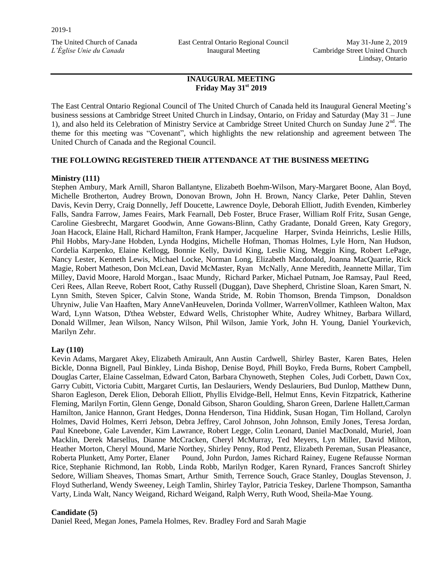East Central Ontario Regional Council Inaugural Meeting

## **INAUGURAL MEETING Friday May 31st 2019**

The East Central Ontario Regional Council of The United Church of Canada held its Inaugural General Meeting's business sessions at Cambridge Street United Church in Lindsay, Ontario, on Friday and Saturday (May 31 – June 1), and also held its Celebration of Ministry Service at Cambridge Street United Church on Sunday June 2<sup>nd</sup>. The theme for this meeting was "Covenant", which highlights the new relationship and agreement between The United Church of Canada and the Regional Council.

### **THE FOLLOWING REGISTERED THEIR ATTENDANCE AT THE BUSINESS MEETING**

### **Ministry (111)**

Stephen Ambury, Mark Arnill, Sharon Ballantyne, Elizabeth Boehm-Wilson, Mary-Margaret Boone, Alan Boyd, Michelle Brotherton, Audrey Brown, Donovan Brown, John H. Brown, Nancy Clarke, Peter Dahlin, Steven Davis, Kevin Derry, Craig Donnelly, Jeff Doucette, Lawrence Doyle, Deborah Elliott, Judith Evenden, Kimberley Falls, Sandra Farrow, James Feairs, Mark Fearnall, Deb Foster, Bruce Fraser, William Rolf Fritz, Susan Genge, Caroline Giesbrecht, Margaret Goodwin, Anne Gowans-Blinn, Cathy Gradante, Donald Green, Katy Gregory, Joan Hacock, Elaine Hall, Richard Hamilton, Frank Hamper, Jacqueline Harper, Svinda Heinrichs, Leslie Hills, Phil Hobbs, Mary-Jane Hobden, Lynda Hodgins, Michelle Hofman, Thomas Holmes, Lyle Horn, Nan Hudson, Cordelia Karpenko, Elaine Kellogg, Bonnie Kelly, David King, Leslie King, Meggin King, Robert LePage, Nancy Lester, Kenneth Lewis, Michael Locke, Norman Long, Elizabeth Macdonald, Joanna MacQuarrie, Rick Magie, Robert Matheson, Don McLean, David McMaster, Ryan McNally, Anne Meredith, Jeannette Millar, Tim Milley, David Moore, Harold Morgan., Isaac Mundy, Richard Parker, Michael Putnam, Joe Ramsay, Paul Reed, Ceri Rees, Allan Reeve, Robert Root, Cathy Russell (Duggan), Dave Shepherd, Christine Sloan, Karen Smart, N. Lynn Smith, Steven Spicer, Calvin Stone, Wanda Stride, M. Robin Thomson, Brenda Timpson, Donaldson Uhryniw, Julie Van Haaften, Mary AnneVanHeuvelen, Dorinda Vollmer, WarrenVollmer, Kathleen Walton, Max Ward, Lynn Watson, D'thea Webster, Edward Wells, Christopher White, Audrey Whitney, Barbara Willard, Donald Willmer, Jean Wilson, Nancy Wilson, Phil Wilson, Jamie York, John H. Young, Daniel Yourkevich, Marilyn Zehr.

### **Lay (110)**

Kevin Adams, Margaret Akey, Elizabeth Amirault, Ann Austin Cardwell, Shirley Baster, Karen Bates, Helen Bickle, Donna Bignell, Paul Binkley, Linda Bishop, Denise Boyd, Phill Boyko, Freda Burns, Robert Campbell, Douglas Carter, Elaine Casselman, Edward Caton, Barbara Chynoweth, Stephen Coles, Judi Corbett, Dawn Cox, Garry Cubitt, Victoria Cubitt, Margaret Curtis, Ian Deslauriers, Wendy Deslauriers, Bud Dunlop, Matthew Dunn, Sharon Eagleson, Derek Elion, Deborah Elliott, Phyllis Elvidge-Bell, Helmut Enns, Kevin Fitzpatrick, Katherine Fleming, Marilyn Fortin, Glenn Genge, Donald Gibson, Sharon Goulding, Sharon Green, Darlene Hallett,Carman Hamilton, Janice Hannon, Grant Hedges, Donna Henderson, Tina Hiddink, Susan Hogan, Tim Holland, Carolyn Holmes, David Holmes, Kerri Jebson, Debra Jeffrey, Carol Johnson, John Johnson, Emily Jones, Teresa Jordan, Paul Kneebone, Gale Lavender, Kim Lawrance, Robert Legge, Colin Leonard, Daniel MacDonald, Muriel, Joan Macklin, Derek Marsellus, Dianne McCracken, Cheryl McMurray, Ted Meyers, Lyn Miller, David Milton, Heather Morton, Cheryl Mound, Marie Northey, Shirley Penny, Rod Pentz, Elizabeth Pereman, Susan Pleasance, Roberta Plunkett, Amy Porter, Elaner Pound, John Purdon, James Richard Rainey, Eugene Refausse Norman Rice, Stephanie Richmond, Ian Robb, Linda Robb, Marilyn Rodger, Karen Rynard, Frances Sancroft Shirley Sedore, William Sheaves, Thomas Smart, Arthur Smith, Terrence Souch, Grace Stanley, Douglas Stevenson, J. Floyd Sutherland, Wendy Sweeney, Leigh Tamlin, Shirley Taylor, Patricia Teskey, Darlene Thompson, Samantha Varty, Linda Walt, Nancy Weigand, Richard Weigand, Ralph Werry, Ruth Wood, Sheila-Mae Young.

#### **Candidate (5)**

Daniel Reed, Megan Jones, Pamela Holmes, Rev. Bradley Ford and Sarah Magie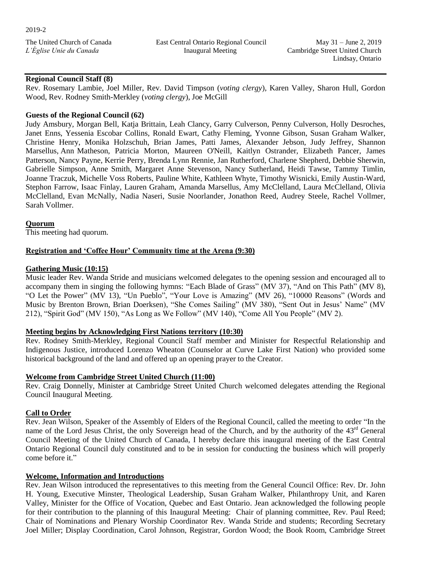East Central Ontario Regional Council Inaugural Meeting

## **Regional Council Staff (8)**

Rev. Rosemary Lambie, Joel Miller, Rev. David Timpson (*voting clergy*), Karen Valley, Sharon Hull, Gordon Wood, Rev. Rodney Smith-Merkley (*voting clergy*), Joe McGill

### **Guests of the Regional Council (62)**

Judy Amsbury, Morgan Bell, Katja Brittain, Leah Clancy, Garry Culverson, Penny Culverson, Holly Desroches, Janet Enns, Yessenia Escobar Collins, Ronald Ewart, Cathy Fleming, Yvonne Gibson, Susan Graham Walker, Christine Henry, Monika Holzschuh, Brian James, Patti James, Alexander Jebson, Judy Jeffrey, Shannon Marsellus, Ann Matheson, Patricia Morton, Maureen O'Neill, Kaitlyn Ostrander, Elizabeth Pancer, James Patterson, Nancy Payne, Kerrie Perry, Brenda Lynn Rennie, Jan Rutherford, Charlene Shepherd, Debbie Sherwin, Gabrielle Simpson, Anne Smith, Margaret Anne Stevenson, Nancy Sutherland, Heidi Tawse, Tammy Timlin, Joanne Traczuk, Michelle Voss Roberts, Pauline White, Kathleen Whyte, Timothy Wisnicki, Emily Austin-Ward, Stephon Farrow, Isaac Finlay, Lauren Graham, Amanda Marsellus, Amy McClelland, Laura McClelland, Olivia McClelland, Evan McNally, Nadia Naseri, Susie Noorlander, Jonathon Reed, Audrey Steele, Rachel Vollmer, Sarah Vollmer.

#### **Quorum**

This meeting had quorum.

#### **Registration and 'Coffee Hour' Community time at the Arena (9:30)**

#### **Gathering Music (10:15)**

Music leader Rev. Wanda Stride and musicians welcomed delegates to the opening session and encouraged all to accompany them in singing the following hymns: "Each Blade of Grass" (MV 37), "And on This Path" (MV 8), "O Let the Power" (MV 13), "Un Pueblo", "Your Love is Amazing" (MV 26), "10000 Reasons" (Words and Music by Brenton Brown, Brian Doerksen), "She Comes Sailing" (MV 380), "Sent Out in Jesus' Name" (MV 212), "Spirit God" (MV 150), "As Long as We Follow" (MV 140), "Come All You People" (MV 2).

### **Meeting begins by Acknowledging First Nations territory (10:30)**

Rev. Rodney Smith-Merkley, Regional Council Staff member and Minister for Respectful Relationship and Indigenous Justice, introduced Lorenzo Wheaton (Counselor at Curve Lake First Nation) who provided some historical background of the land and offered up an opening prayer to the Creator.

### **Welcome from Cambridge Street United Church (11:00)**

Rev. Craig Donnelly, Minister at Cambridge Street United Church welcomed delegates attending the Regional Council Inaugural Meeting.

#### **Call to Order**

Rev. Jean Wilson, Speaker of the Assembly of Elders of the Regional Council, called the meeting to order "In the name of the Lord Jesus Christ, the only Sovereign head of the Church, and by the authority of the  $43<sup>rd</sup>$  General Council Meeting of the United Church of Canada, I hereby declare this inaugural meeting of the East Central Ontario Regional Council duly constituted and to be in session for conducting the business which will properly come before it."

### **Welcome, Information and Introductions**

Rev. Jean Wilson introduced the representatives to this meeting from the General Council Office: Rev. Dr. John H. Young, Executive Minster, Theological Leadership, Susan Graham Walker, Philanthropy Unit, and Karen Valley, Minister for the Office of Vocation, Quebec and East Ontario. Jean acknowledged the following people for their contribution to the planning of this Inaugural Meeting: Chair of planning committee, Rev. Paul Reed; Chair of Nominations and Plenary Worship Coordinator Rev. Wanda Stride and students; Recording Secretary Joel Miller; Display Coordination, Carol Johnson, Registrar, Gordon Wood; the Book Room, Cambridge Street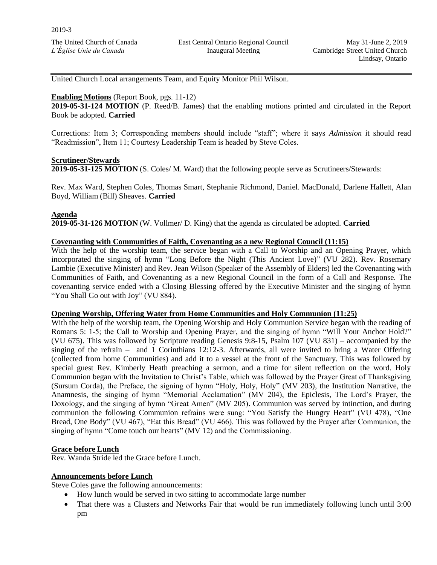United Church Local arrangements Team, and Equity Monitor Phil Wilson.

### **Enabling Motions** (Report Book, pgs. 11-12)

**2019-05-31-124 MOTION** (P. Reed/B. James) that the enabling motions printed and circulated in the Report Book be adopted. **Carried**

Corrections: Item 3; Corresponding members should include "staff"; where it says *Admission* it should read "Readmission", Item 11; Courtesy Leadership Team is headed by Steve Coles.

#### **Scrutineer/Stewards**

**2019-05-31-125 MOTION** (S. Coles/ M. Ward) that the following people serve as Scrutineers/Stewards:

Rev. Max Ward, Stephen Coles, Thomas Smart, Stephanie Richmond, Daniel. MacDonald, Darlene Hallett, Alan Boyd, William (Bill) Sheaves. **Carried** 

### **Agenda**

**2019-05-31-126 MOTION** (W. Vollmer/ D. King) that the agenda as circulated be adopted. **Carried** 

#### **Covenanting with Communities of Faith, Covenanting as a new Regional Council (11:15)**

With the help of the worship team, the service began with a Call to Worship and an Opening Prayer, which incorporated the singing of hymn "Long Before the Night (This Ancient Love)" (VU 282). Rev. Rosemary Lambie (Executive Minister) and Rev. Jean Wilson (Speaker of the Assembly of Elders) led the Covenanting with Communities of Faith, and Covenanting as a new Regional Council in the form of a Call and Response. The covenanting service ended with a Closing Blessing offered by the Executive Minister and the singing of hymn "You Shall Go out with Joy" (VU 884).

#### **Opening Worship, Offering Water from Home Communities and Holy Communion (11:25)**

With the help of the worship team, the Opening Worship and Holy Communion Service began with the reading of Romans 5: 1-5; the Call to Worship and Opening Prayer, and the singing of hymn "Will Your Anchor Hold?" (VU 675). This was followed by Scripture reading Genesis 9:8-15, Psalm 107 (VU 831) – accompanied by the singing of the refrain – and 1 Corinthians 12:12-3. Afterwards, all were invited to bring a Water Offering (collected from home Communities) and add it to a vessel at the front of the Sanctuary. This was followed by special guest Rev. Kimberly Heath preaching a sermon, and a time for silent reflection on the word. Holy Communion began with the Invitation to Christ's Table, which was followed by the Prayer Great of Thanksgiving (Sursum Corda), the Preface, the signing of hymn "Holy, Holy, Holy" (MV 203), the Institution Narrative, the Anamnesis, the singing of hymn "Memorial Acclamation" (MV 204), the Epiclesis, The Lord's Prayer, the Doxology, and the singing of hymn "Great Amen" (MV 205). Communion was served by intinction, and during communion the following Communion refrains were sung: "You Satisfy the Hungry Heart" (VU 478), "One Bread, One Body" (VU 467), "Eat this Bread" (VU 466). This was followed by the Prayer after Communion, the singing of hymn "Come touch our hearts" (MV 12) and the Commissioning.

### **Grace before Lunch**

Rev. Wanda Stride led the Grace before Lunch.

#### **Announcements before Lunch**

Steve Coles gave the following announcements:

- How lunch would be served in two sitting to accommodate large number
- That there was a Clusters and Networks Fair that would be run immediately following lunch until 3:00 pm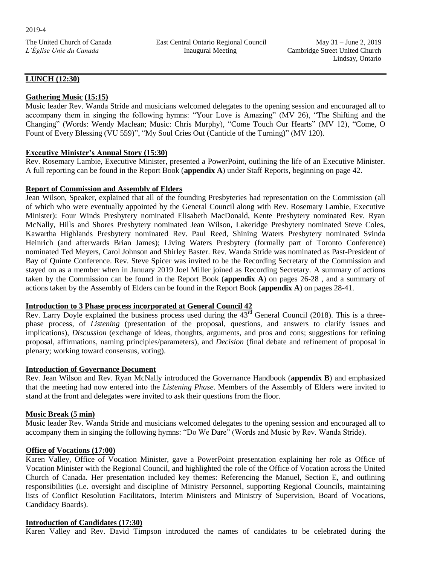East Central Ontario Regional Council Inaugural Meeting

### **LUNCH (12:30)**

### **Gathering Music (15:15)**

Music leader Rev. Wanda Stride and musicians welcomed delegates to the opening session and encouraged all to accompany them in singing the following hymns: "Your Love is Amazing" (MV 26), "The Shifting and the Changing" (Words: Wendy Maclean; Music: Chris Murphy), "Come Touch Our Hearts" (MV 12), "Come, O Fount of Every Blessing (VU 559)", "My Soul Cries Out (Canticle of the Turning)" (MV 120).

### **Executive Minister's Annual Story (15:30)**

Rev. Rosemary Lambie, Executive Minister, presented a PowerPoint, outlining the life of an Executive Minister. A full reporting can be found in the Report Book (**appendix A**) under Staff Reports, beginning on page 42.

### **Report of Commission and Assembly of Elders**

Jean Wilson, Speaker, explained that all of the founding Presbyteries had representation on the Commission (all of which who were eventually appointed by the General Council along with Rev. Rosemary Lambie, Executive Minister): Four Winds Presbytery nominated Elisabeth MacDonald, Kente Presbytery nominated Rev. Ryan McNally, Hills and Shores Presbytery nominated Jean Wilson, Lakeridge Presbytery nominated Steve Coles, Kawartha Highlands Presbytery nominated Rev. Paul Reed, Shining Waters Presbytery nominated Svinda Heinrich (and afterwards Brian James); Living Waters Presbytery (formally part of Toronto Conference) nominated Ted Meyers, Carol Johnson and Shirley Baster. Rev. Wanda Stride was nominated as Past-President of Bay of Quinte Conference. Rev. Steve Spicer was invited to be the Recording Secretary of the Commission and stayed on as a member when in January 2019 Joel Miller joined as Recording Secretary. A summary of actions taken by the Commission can be found in the Report Book (**appendix A**) on pages 26-28 , and a summary of actions taken by the Assembly of Elders can be found in the Report Book (**appendix A**) on pages 28-41.

## **Introduction to 3 Phase process incorporated at General Council 42**

Rev. Larry Doyle explained the business process used during the  $43<sup>rd</sup>$  General Council (2018). This is a threephase process, of *Listening* (presentation of the proposal, questions, and answers to clarify issues and implications), *Discussion* (exchange of ideas, thoughts, arguments, and pros and cons; suggestions for refining proposal, affirmations, naming principles/parameters), and *Decision* (final debate and refinement of proposal in plenary; working toward consensus, voting).

### **Introduction of Governance Document**

Rev. Jean Wilson and Rev. Ryan McNally introduced the Governance Handbook (**appendix B**) and emphasized that the meeting had now entered into the *Listening Phase*. Members of the Assembly of Elders were invited to stand at the front and delegates were invited to ask their questions from the floor.

### **Music Break (5 min)**

Music leader Rev. Wanda Stride and musicians welcomed delegates to the opening session and encouraged all to accompany them in singing the following hymns: "Do We Dare" (Words and Music by Rev. Wanda Stride).

### **Office of Vocations (17:00)**

Karen Valley, Office of Vocation Minister, gave a PowerPoint presentation explaining her role as Office of Vocation Minister with the Regional Council, and highlighted the role of the Office of Vocation across the United Church of Canada. Her presentation included key themes: Referencing the Manuel, Section E, and outlining responsibilities (i.e. oversight and discipline of Ministry Personnel, supporting Regional Councils, maintaining lists of Conflict Resolution Facilitators, Interim Ministers and Ministry of Supervision, Board of Vocations, Candidacy Boards).

### **Introduction of Candidates (17:30)**

Karen Valley and Rev. David Timpson introduced the names of candidates to be celebrated during the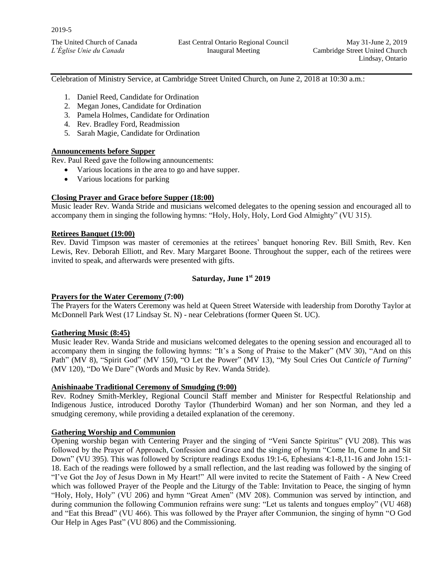Celebration of Ministry Service, at Cambridge Street United Church, on June 2, 2018 at 10:30 a.m.:

- 1. Daniel Reed, Candidate for Ordination
- 2. Megan Jones, Candidate for Ordination
- 3. Pamela Holmes, Candidate for Ordination
- 4. Rev. Bradley Ford, Readmission
- 5. Sarah Magie, Candidate for Ordination

### **Announcements before Supper**

Rev. Paul Reed gave the following announcements:

- Various locations in the area to go and have supper.
- Various locations for parking

### **Closing Prayer and Grace before Supper (18:00)**

Music leader Rev. Wanda Stride and musicians welcomed delegates to the opening session and encouraged all to accompany them in singing the following hymns: "Holy, Holy, Holy, Lord God Almighty" (VU 315).

### **Retirees Banquet (19:00)**

Rev. David Timpson was master of ceremonies at the retirees' banquet honoring Rev. Bill Smith, Rev. Ken Lewis, Rev. Deborah Elliott, and Rev. Mary Margaret Boone. Throughout the supper, each of the retirees were invited to speak, and afterwards were presented with gifts.

## **Saturday, June 1st 2019**

### **Prayers for the Water Ceremony (7:00)**

The Prayers for the Waters Ceremony was held at Queen Street Waterside with leadership from Dorothy Taylor at McDonnell Park West (17 Lindsay St. N) - near Celebrations (former Queen St. UC).

### **Gathering Music (8:45)**

Music leader Rev. Wanda Stride and musicians welcomed delegates to the opening session and encouraged all to accompany them in singing the following hymns: "It's a Song of Praise to the Maker" (MV 30), "And on this Path" (MV 8), "Spirit God" (MV 150), "O Let the Power" (MV 13), "My Soul Cries Out *Canticle of Turning*" (MV 120), "Do We Dare" (Words and Music by Rev. Wanda Stride).

#### **Anishinaabe Traditional Ceremony of Smudging (9:00)**

Rev. Rodney Smith-Merkley, Regional Council Staff member and Minister for Respectful Relationship and Indigenous Justice, introduced Dorothy Taylor (Thunderbird Woman) and her son Norman, and they led a smudging ceremony, while providing a detailed explanation of the ceremony.

### **Gathering Worship and Communion**

Opening worship began with Centering Prayer and the singing of "Veni Sancte Spiritus" (VU 208). This was followed by the Prayer of Approach, Confession and Grace and the singing of hymn "Come In, Come In and Sit Down" (VU 395). This was followed by Scripture readings Exodus 19:1-6, Ephesians 4:1-8,11-16 and John 15:1- 18. Each of the readings were followed by a small reflection, and the last reading was followed by the singing of "I've Got the Joy of Jesus Down in My Heart!" All were invited to recite the Statement of Faith - A New Creed which was followed Prayer of the People and the Liturgy of the Table: Invitation to Peace, the singing of hymn "Holy, Holy, Holy" (VU 206) and hymn "Great Amen" (MV 208). Communion was served by intinction, and during communion the following Communion refrains were sung: "Let us talents and tongues employ" (VU 468) and "Eat this Bread" (VU 466). This was followed by the Prayer after Communion, the singing of hymn "O God Our Help in Ages Past" (VU 806) and the Commissioning.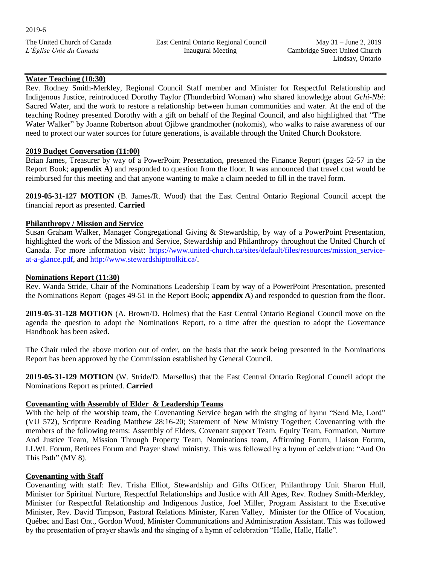## **Water Teaching (10:30)**

Rev. Rodney Smith-Merkley, Regional Council Staff member and Minister for Respectful Relationship and Indigenous Justice, reintroduced Dorothy Taylor (Thunderbird Woman) who shared knowledge about *Gchi-Nbi*: Sacred Water, and the work to restore a relationship between human communities and water. At the end of the teaching Rodney presented Dorothy with a gift on behalf of the Reginal Council, and also highlighted that "The Water Walker" by Joanne Robertson about Ojibwe grandmother (nokomis), who walks to raise awareness of our need to protect our water sources for future generations, is available through the United Church Bookstore.

### **2019 Budget Conversation (11:00)**

Brian James, Treasurer by way of a PowerPoint Presentation, presented the Finance Report (pages 52-57 in the Report Book; **appendix A**) and responded to question from the floor. It was announced that travel cost would be reimbursed for this meeting and that anyone wanting to make a claim needed to fill in the travel form.

**2019-05-31-127 MOTION** (B. James/R. Wood) that the East Central Ontario Regional Council accept the financial report as presented. **Carried**

## **Philanthropy / Mission and Service**

Susan Graham Walker, Manager Congregational Giving & Stewardship, by way of a PowerPoint Presentation, highlighted the work of the Mission and Service, Stewardship and Philanthropy throughout the United Church of Canada. For more information visit: [https://www.united-church.ca/sites/default/files/resources/mission\\_service](https://www.united-church.ca/sites/default/files/resources/mission_service-at-a-glance.pdf)[at-a-glance.pdf,](https://www.united-church.ca/sites/default/files/resources/mission_service-at-a-glance.pdf) and [http://www.stewardshiptoolkit.ca/.](http://www.stewardshiptoolkit.ca/)

### **Nominations Report (11:30)**

Rev. Wanda Stride, Chair of the Nominations Leadership Team by way of a PowerPoint Presentation, presented the Nominations Report (pages 49-51 in the Report Book; **appendix A**) and responded to question from the floor.

**2019-05-31-128 MOTION** (A. Brown/D. Holmes) that the East Central Ontario Regional Council move on the agenda the question to adopt the Nominations Report, to a time after the question to adopt the Governance Handbook has been asked.

The Chair ruled the above motion out of order, on the basis that the work being presented in the Nominations Report has been approved by the Commission established by General Council.

**2019-05-31-129 MOTION** (W. Stride/D. Marsellus) that the East Central Ontario Regional Council adopt the Nominations Report as printed. **Carried** 

## **Covenanting with Assembly of Elder & Leadership Teams**

With the help of the worship team, the Covenanting Service began with the singing of hymn "Send Me, Lord" (VU 572), Scripture Reading Matthew 28:16-20; Statement of New Ministry Together; Covenanting with the members of the following teams: Assembly of Elders, Covenant support Team, Equity Team, Formation, Nurture And Justice Team, Mission Through Property Team, Nominations team, Affirming Forum, Liaison Forum, LLWL Forum, Retirees Forum and Prayer shawl ministry. This was followed by a hymn of celebration: "And On This Path" (MV 8).

## **Covenanting with Staff**

Covenanting with staff: Rev. Trisha Elliot, Stewardship and Gifts Officer, Philanthropy Unit Sharon Hull, Minister for Spiritual Nurture, Respectful Relationships and Justice with All Ages, Rev. Rodney Smith-Merkley, Minister for Respectful Relationship and Indigenous Justice, Joel Miller, Program Assistant to the Executive Minister, Rev. David Timpson, Pastoral Relations Minister, Karen Valley, Minister for the Office of Vocation, Québec and East Ont., Gordon Wood, Minister Communications and Administration Assistant. This was followed by the presentation of prayer shawls and the singing of a hymn of celebration "Halle, Halle, Halle".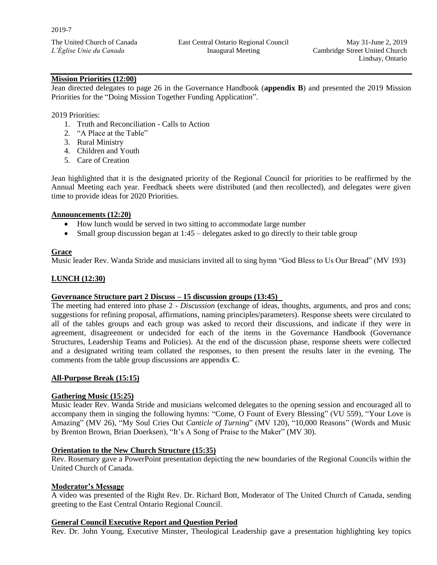## **Mission Priorities (12:00)**

Jean directed delegates to page 26 in the Governance Handbook (**appendix B**) and presented the 2019 Mission Priorities for the "Doing Mission Together Funding Application".

#### 2019 Priorities:

- 1. Truth and Reconciliation Calls to Action
- 2. "A Place at the Table"
- 3. Rural Ministry
- 4. Children and Youth
- 5. Care of Creation

Jean highlighted that it is the designated priority of the Regional Council for priorities to be reaffirmed by the Annual Meeting each year. Feedback sheets were distributed (and then recollected), and delegates were given time to provide ideas for 2020 Priorities.

#### **Announcements (12:20)**

- How lunch would be served in two sitting to accommodate large number
- Small group discussion began at 1:45 delegates asked to go directly to their table group

#### **Grace**

Music leader Rev. Wanda Stride and musicians invited all to sing hymn "God Bless to Us Our Bread" (MV 193)

### **LUNCH (12:30)**

# **Governance Structure part 2 Discuss – 15 discussion groups (13:45)**

The meeting had entered into phase 2 - *Discussion* (exchange of ideas, thoughts, arguments, and pros and cons; suggestions for refining proposal, affirmations, naming principles/parameters). Response sheets were circulated to all of the tables groups and each group was asked to record their discussions, and indicate if they were in agreement, disagreement or undecided for each of the items in the Governance Handbook (Governance Structures, Leadership Teams and Policies). At the end of the discussion phase, response sheets were collected and a designated writing team collated the responses, to then present the results later in the evening. The comments from the table group discussions are appendix **C**.

#### **All-Purpose Break (15:15)**

#### **Gathering Music (15:25)**

Music leader Rev. Wanda Stride and musicians welcomed delegates to the opening session and encouraged all to accompany them in singing the following hymns: "Come, O Fount of Every Blessing" (VU 559), "Your Love is Amazing" (MV 26), "My Soul Cries Out *Canticle of Turning*" (MV 120), "10,000 Reasons" (Words and Music by Brenton Brown, Brian Doerksen), "It's A Song of Praise to the Maker" (MV 30).

### **Orientation to the New Church Structure (15:35)**

Rev. Rosemary gave a PowerPoint presentation depicting the new boundaries of the Regional Councils within the United Church of Canada.

#### **Moderator's Message**

A video was presented of the Right Rev. Dr. Richard Bott, Moderator of The United Church of Canada, sending greeting to the East Central Ontario Regional Council.

#### **General Council Executive Report and Question Period**

Rev. Dr. John Young, Executive Minster, Theological Leadership gave a presentation highlighting key topics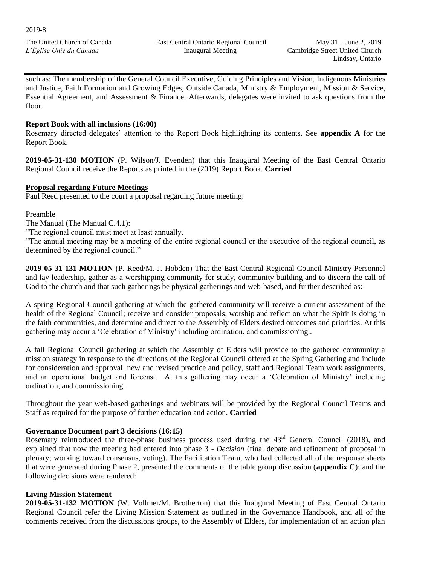such as: The membership of the General Council Executive, Guiding Principles and Vision, Indigenous Ministries and Justice, Faith Formation and Growing Edges, Outside Canada, Ministry & Employment, Mission & Service, Essential Agreement, and Assessment & Finance. Afterwards, delegates were invited to ask questions from the floor.

### **Report Book with all inclusions (16:00)**

Rosemary directed delegates' attention to the Report Book highlighting its contents. See **appendix A** for the Report Book.

**2019-05-31-130 MOTION** (P. Wilson/J. Evenden) that this Inaugural Meeting of the East Central Ontario Regional Council receive the Reports as printed in the (2019) Report Book. **Carried**

### **Proposal regarding Future Meetings**

Paul Reed presented to the court a proposal regarding future meeting:

### Preamble

The Manual (The Manual C.4.1):

"The regional council must meet at least annually.

"The annual meeting may be a meeting of the entire regional council or the executive of the regional council, as determined by the regional council."

**2019-05-31-131 MOTION** (P. Reed/M. J. Hobden) That the East Central Regional Council Ministry Personnel and lay leadership, gather as a worshipping community for study, community building and to discern the call of God to the church and that such gatherings be physical gatherings and web-based, and further described as:

A spring Regional Council gathering at which the gathered community will receive a current assessment of the health of the Regional Council; receive and consider proposals, worship and reflect on what the Spirit is doing in the faith communities, and determine and direct to the Assembly of Elders desired outcomes and priorities. At this gathering may occur a 'Celebration of Ministry' including ordination, and commissioning..

A fall Regional Council gathering at which the Assembly of Elders will provide to the gathered community a mission strategy in response to the directions of the Regional Council offered at the Spring Gathering and include for consideration and approval, new and revised practice and policy, staff and Regional Team work assignments, and an operational budget and forecast. At this gathering may occur a 'Celebration of Ministry' including ordination, and commissioning.

Throughout the year web-based gatherings and webinars will be provided by the Regional Council Teams and Staff as required for the purpose of further education and action. **Carried**

### **Governance Document part 3 decisions (16:15)**

Rosemary reintroduced the three-phase business process used during the  $43<sup>rd</sup>$  General Council (2018), and explained that now the meeting had entered into phase 3 - *Decision* (final debate and refinement of proposal in plenary; working toward consensus, voting). The Facilitation Team, who had collected all of the response sheets that were generated during Phase 2, presented the comments of the table group discussion (**appendix C**); and the following decisions were rendered:

### **Living Mission Statement**

**2019-05-31-132 MOTION** (W. Vollmer/M. Brotherton) that this Inaugural Meeting of East Central Ontario Regional Council refer the Living Mission Statement as outlined in the Governance Handbook, and all of the comments received from the discussions groups, to the Assembly of Elders, for implementation of an action plan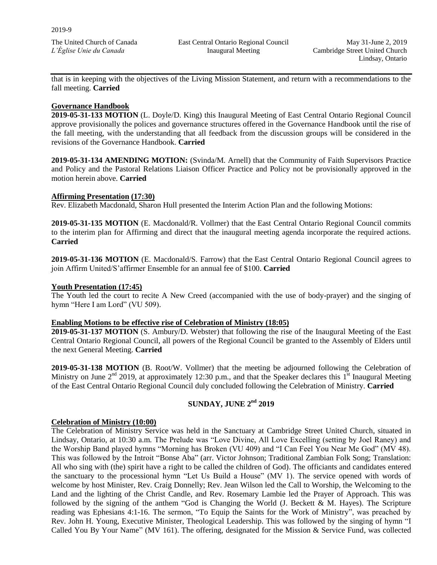that is in keeping with the objectives of the Living Mission Statement, and return with a recommendations to the fall meeting. **Carried**

### **Governance Handbook**

**2019-05-31-133 MOTION** (L. Doyle/D. King) this Inaugural Meeting of East Central Ontario Regional Council approve provisionally the polices and governance structures offered in the Governance Handbook until the rise of the fall meeting, with the understanding that all feedback from the discussion groups will be considered in the revisions of the Governance Handbook. **Carried**

**2019-05-31-134 AMENDING MOTION:** (Svinda/M. Arnell) that the Community of Faith Supervisors Practice and Policy and the Pastoral Relations Liaison Officer Practice and Policy not be provisionally approved in the motion herein above. **Carried**

### **Affirming Presentation (17:30)**

Rev. Elizabeth Macdonald, Sharon Hull presented the Interim Action Plan and the following Motions:

**2019-05-31-135 MOTION** (E. Macdonald/R. Vollmer) that the East Central Ontario Regional Council commits to the interim plan for Affirming and direct that the inaugural meeting agenda incorporate the required actions. **Carried**

**2019-05-31-136 MOTION** (E. Macdonald/S. Farrow) that the East Central Ontario Regional Council agrees to join Affirm United/S'affirmer Ensemble for an annual fee of \$100. **Carried**

### **Youth Presentation (17:45)**

The Youth led the court to recite A New Creed (accompanied with the use of body-prayer) and the singing of hymn "Here I am Lord" (VU 509).

### **Enabling Motions to be effective rise of Celebration of Ministry (18:05)**

**2019-05-31-137 MOTION** (S. Ambury/D. Webster) that following the rise of the Inaugural Meeting of the East Central Ontario Regional Council, all powers of the Regional Council be granted to the Assembly of Elders until the next General Meeting. **Carried**

**2019-05-31-138 MOTION** (B. Root/W. Vollmer) that the meeting be adjourned following the Celebration of Ministry on June  $2<sup>nd</sup>$  2019, at approximately 12:30 p.m., and that the Speaker declares this  $1<sup>st</sup>$  Inaugural Meeting of the East Central Ontario Regional Council duly concluded following the Celebration of Ministry. **Carried**

## **SUNDAY, JUNE 2 nd 2019**

### **Celebration of Ministry (10:00)**

The Celebration of Ministry Service was held in the Sanctuary at Cambridge Street United Church, situated in Lindsay, Ontario, at 10:30 a.m. The Prelude was "Love Divine, All Love Excelling (setting by Joel Raney) and the Worship Band played hymns "Morning has Broken (VU 409) and "I Can Feel You Near Me God" (MV 48). This was followed by the Introit "Bonse Aba" (arr. Victor Johnson; Traditional Zambian Folk Song; Translation: All who sing with (the) spirit have a right to be called the children of God). The officiants and candidates entered the sanctuary to the processional hymn "Let Us Build a House" (MV 1). The service opened with words of welcome by host Minister, Rev. Craig Donnelly; Rev. Jean Wilson led the Call to Worship, the Welcoming to the Land and the lighting of the Christ Candle, and Rev. Rosemary Lambie led the Prayer of Approach. This was followed by the signing of the anthem "God is Changing the World (J. Beckett & M. Hayes). The Scripture reading was Ephesians 4:1-16. The sermon, "To Equip the Saints for the Work of Ministry", was preached by Rev. John H. Young, Executive Minister, Theological Leadership. This was followed by the singing of hymn "I Called You By Your Name" (MV 161). The offering, designated for the Mission & Service Fund, was collected